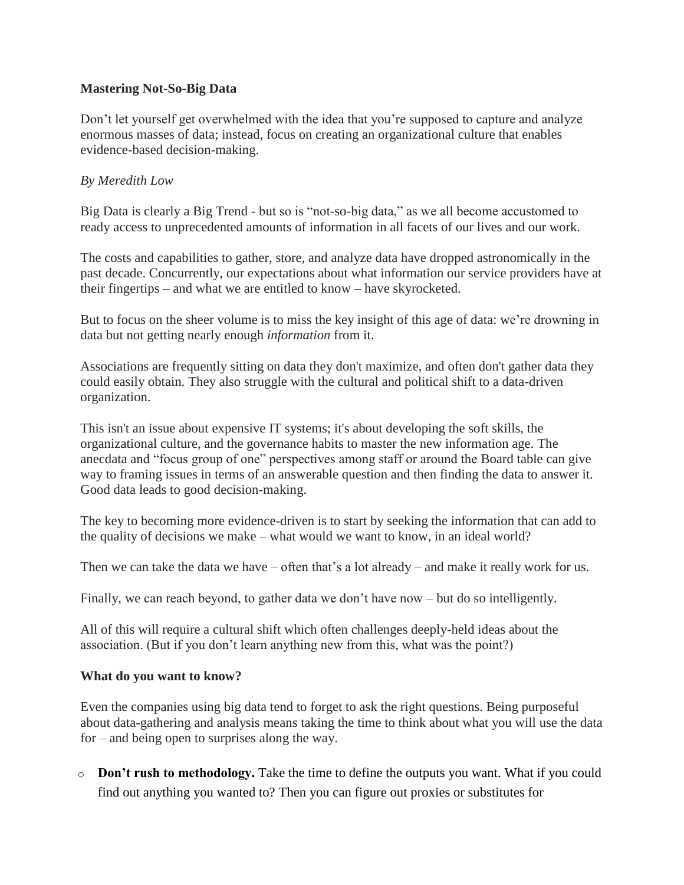## **Mastering Not-So-Big Data**

Don't let yourself get overwhelmed with the idea that you're supposed to capture and analyze enormous masses of data; instead, focus on creating an organizational culture that enables evidence-based decision-making.

## *By Meredith Low*

Big Data is clearly a Big Trend - but so is "not-so-big data," as we all become accustomed to ready access to unprecedented amounts of information in all facets of our lives and our work.

The costs and capabilities to gather, store, and analyze data have dropped astronomically in the past decade. Concurrently, our expectations about what information our service providers have at their fingertips – and what we are entitled to know – have skyrocketed.

But to focus on the sheer volume is to miss the key insight of this age of data: we're drowning in data but not getting nearly enough *information* from it.

Associations are frequently sitting on data they don't maximize, and often don't gather data they could easily obtain. They also struggle with the cultural and political shift to a data-driven organization.

This isn't an issue about expensive IT systems; it's about developing the soft skills, the organizational culture, and the governance habits to master the new information age. The anecdata and "focus group of one" perspectives among staff or around the Board table can give way to framing issues in terms of an answerable question and then finding the data to answer it. Good data leads to good decision-making.

The key to becoming more evidence-driven is to start by seeking the information that can add to the quality of decisions we make – what would we want to know, in an ideal world?

Then we can take the data we have – often that's a lot already – and make it really work for us.

Finally, we can reach beyond, to gather data we don't have now – but do so intelligently.

All of this will require a cultural shift which often challenges deeply-held ideas about the association. (But if you don't learn anything new from this, what was the point?)

#### **What do you want to know?**

Even the companies using big data tend to forget to ask the right questions. Being purposeful about data-gathering and analysis means taking the time to think about what you will use the data for – and being open to surprises along the way.

o **Don't rush to methodology.** Take the time to define the outputs you want. What if you could find out anything you wanted to? Then you can figure out proxies or substitutes for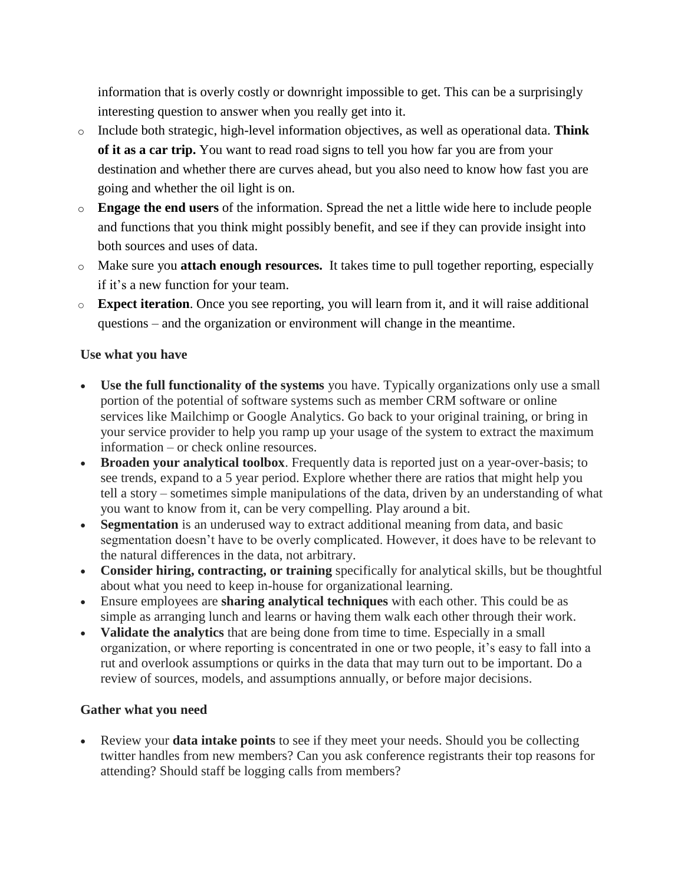information that is overly costly or downright impossible to get. This can be a surprisingly interesting question to answer when you really get into it.

- o Include both strategic, high-level information objectives, as well as operational data. **Think of it as a car trip.** You want to read road signs to tell you how far you are from your destination and whether there are curves ahead, but you also need to know how fast you are going and whether the oil light is on.
- o **Engage the end users** of the information. Spread the net a little wide here to include people and functions that you think might possibly benefit, and see if they can provide insight into both sources and uses of data.
- o Make sure you **attach enough resources.** It takes time to pull together reporting, especially if it's a new function for your team.
- o **Expect iteration**. Once you see reporting, you will learn from it, and it will raise additional questions – and the organization or environment will change in the meantime.

#### **Use what you have**

- **Use the full functionality of the systems** you have. Typically organizations only use a small portion of the potential of software systems such as member CRM software or online services like Mailchimp or Google Analytics. Go back to your original training, or bring in your service provider to help you ramp up your usage of the system to extract the maximum information – or check online resources.
- **Broaden your analytical toolbox**. Frequently data is reported just on a year-over-basis; to see trends, expand to a 5 year period. Explore whether there are ratios that might help you tell a story – sometimes simple manipulations of the data, driven by an understanding of what you want to know from it, can be very compelling. Play around a bit.
- **Segmentation** is an underused way to extract additional meaning from data, and basic segmentation doesn't have to be overly complicated. However, it does have to be relevant to the natural differences in the data, not arbitrary.
- **Consider hiring, contracting, or training** specifically for analytical skills, but be thoughtful about what you need to keep in-house for organizational learning.
- Ensure employees are **sharing analytical techniques** with each other. This could be as simple as arranging lunch and learns or having them walk each other through their work.
- **Validate the analytics** that are being done from time to time. Especially in a small organization, or where reporting is concentrated in one or two people, it's easy to fall into a rut and overlook assumptions or quirks in the data that may turn out to be important. Do a review of sources, models, and assumptions annually, or before major decisions.

#### **Gather what you need**

 Review your **data intake points** to see if they meet your needs. Should you be collecting twitter handles from new members? Can you ask conference registrants their top reasons for attending? Should staff be logging calls from members?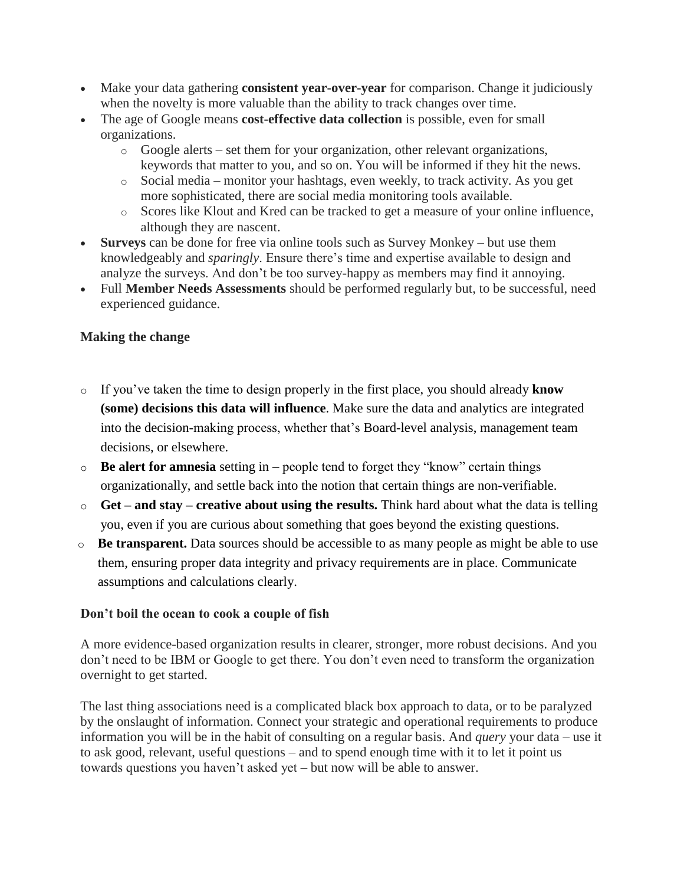- Make your data gathering **consistent year-over-year** for comparison. Change it judiciously when the novelty is more valuable than the ability to track changes over time.
- The age of Google means **cost-effective data collection** is possible, even for small organizations.
	- o Google alerts set them for your organization, other relevant organizations, keywords that matter to you, and so on. You will be informed if they hit the news.
	- $\circ$  Social media monitor your hashtags, even weekly, to track activity. As you get more sophisticated, there are social media monitoring tools available.
	- o Scores like Klout and Kred can be tracked to get a measure of your online influence, although they are nascent.
- **Surveys** can be done for free via online tools such as Survey Monkey but use them knowledgeably and *sparingly*. Ensure there's time and expertise available to design and analyze the surveys. And don't be too survey-happy as members may find it annoying.
- Full **Member Needs Assessments** should be performed regularly but, to be successful, need experienced guidance.

# **Making the change**

- o If you've taken the time to design properly in the first place, you should already **know (some) decisions this data will influence**. Make sure the data and analytics are integrated into the decision-making process, whether that's Board-level analysis, management team decisions, or elsewhere.
- o **Be alert for amnesia** setting in people tend to forget they "know" certain things organizationally, and settle back into the notion that certain things are non-verifiable.
- o **Get – and stay – creative about using the results.** Think hard about what the data is telling you, even if you are curious about something that goes beyond the existing questions.
- o **Be transparent.** Data sources should be accessible to as many people as might be able to use them, ensuring proper data integrity and privacy requirements are in place. Communicate assumptions and calculations clearly.

## **Don't boil the ocean to cook a couple of fish**

A more evidence-based organization results in clearer, stronger, more robust decisions. And you don't need to be IBM or Google to get there. You don't even need to transform the organization overnight to get started.

The last thing associations need is a complicated black box approach to data, or to be paralyzed by the onslaught of information. Connect your strategic and operational requirements to produce information you will be in the habit of consulting on a regular basis. And *query* your data – use it to ask good, relevant, useful questions – and to spend enough time with it to let it point us towards questions you haven't asked yet – but now will be able to answer.